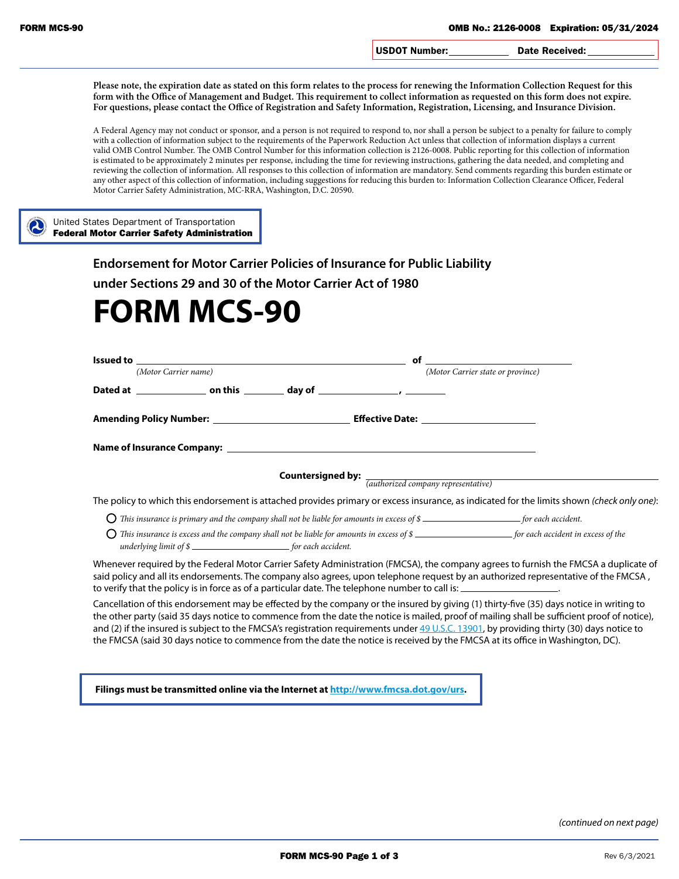USDOT Number: Date Received:

**Please note, the expiration date as stated on this form relates to the process for renewing the Information Collection Request for this form with the Office of Management and Budget. This requirement to collect information as requested on this form does not expire. For questions, please contact the Office of Registration and Safety Information, Registration, Licensing, and Insurance Division.**

A Federal Agency may not conduct or sponsor, and a person is not required to respond to, nor shall a person be subject to a penalty for failure to comply with a collection of information subject to the requirements of the Paperwork Reduction Act unless that collection of information displays a current valid OMB Control Number. The OMB Control Number for this information collection is 2126-0008. Public reporting for this collection of information is estimated to be approximately 2 minutes per response, including the time for reviewing instructions, gathering the data needed, and completing and reviewing the collection of information. All responses to this collection of information are mandatory. Send comments regarding this burden estimate or any other aspect of this collection of information, including suggestions for reducing this burden to: Information Collection Clearance Officer, Federal Motor Carrier Safety Administration, MC-RRA, Washington, D.C. 20590.

United States Department of Transportation Federal Motor Carrier Safety Administration

**Endorsement for Motor Carrier Policies of Insurance for Public Liability**

**under Sections 29 and 30 of the Motor Carrier Act of 1980**

## **FORM MCS-90**

| Issued to<br><u> 1980 - John Stein, Amerikaansk politiker († 1901)</u>                                                | of                                                                                                                                                                                                                                                                                                                                                                                                                                                                                                                                                                    |
|-----------------------------------------------------------------------------------------------------------------------|-----------------------------------------------------------------------------------------------------------------------------------------------------------------------------------------------------------------------------------------------------------------------------------------------------------------------------------------------------------------------------------------------------------------------------------------------------------------------------------------------------------------------------------------------------------------------|
| (Motor Carrier name)                                                                                                  | (Motor Carrier state or province)                                                                                                                                                                                                                                                                                                                                                                                                                                                                                                                                     |
|                                                                                                                       |                                                                                                                                                                                                                                                                                                                                                                                                                                                                                                                                                                       |
|                                                                                                                       |                                                                                                                                                                                                                                                                                                                                                                                                                                                                                                                                                                       |
|                                                                                                                       |                                                                                                                                                                                                                                                                                                                                                                                                                                                                                                                                                                       |
|                                                                                                                       | <b>Countersigned by:</b> $\frac{1}{(authorized company representative)}$                                                                                                                                                                                                                                                                                                                                                                                                                                                                                              |
|                                                                                                                       | The policy to which this endorsement is attached provides primary or excess insurance, as indicated for the limits shown (check only one):                                                                                                                                                                                                                                                                                                                                                                                                                            |
|                                                                                                                       |                                                                                                                                                                                                                                                                                                                                                                                                                                                                                                                                                                       |
| underlying limit of \$                                                                                                | This insurance is excess and the company shall not be liable for amounts in excess of \$                                                                                                                                                                                                                                                                                                                                                                                                                                                                              |
| to verify that the policy is in force as of a particular date. The telephone number to call is: ____________________. | Whenever required by the Federal Motor Carrier Safety Administration (FMCSA), the company agrees to furnish the FMCSA a duplicate of<br>said policy and all its endorsements. The company also agrees, upon telephone request by an authorized representative of the FMCSA,                                                                                                                                                                                                                                                                                           |
|                                                                                                                       | Cancellation of this endorsement may be effected by the company or the insured by giving (1) thirty-five (35) days notice in writing to<br>the other party (said 35 days notice to commence from the date the notice is mailed, proof of mailing shall be sufficient proof of notice),<br>and (2) if the insured is subject to the FMCSA's registration requirements under 49 U.S.C. 13901, by providing thirty (30) days notice to<br>the FMCSA (said 30 days notice to commence from the date the notice is received by the FMCSA at its office in Washington, DC). |

**Filings must be transmitted online via the Internet at [http://www.fmcsa.dot.gov/urs.](http://www.fmcsa.dot.gov/urs)**

*(continued on next page)*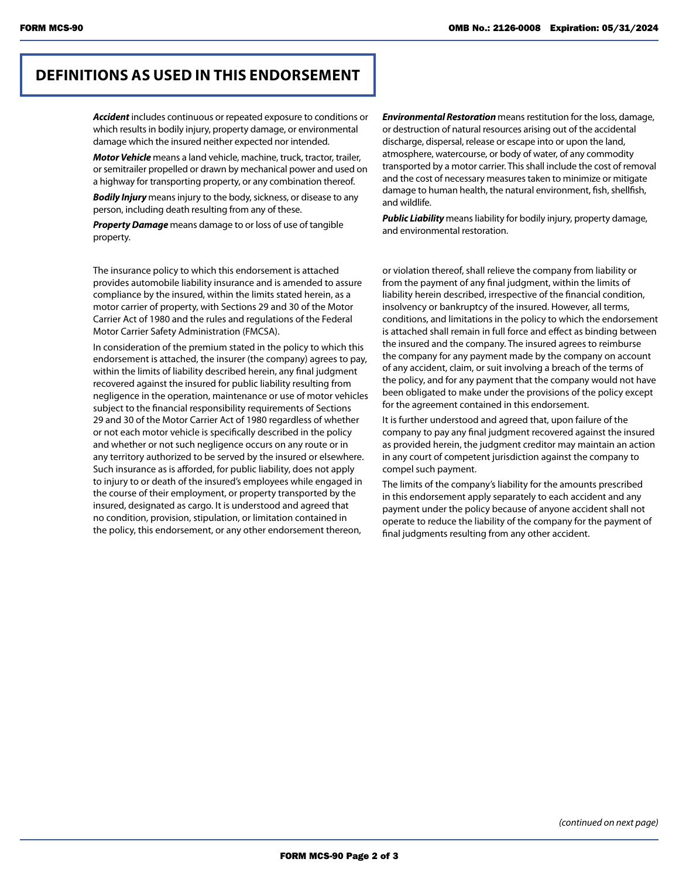## **DEFINITIONS AS USED IN THIS ENDORSEMENT**

*Accident* includes continuous or repeated exposure to conditions or which results in bodily injury, property damage, or environmental damage which the insured neither expected nor intended.

*Motor Vehicle* means a land vehicle, machine, truck, tractor, trailer, or semitrailer propelled or drawn by mechanical power and used on a highway for transporting property, or any combination thereof.

*Bodily Injury* means injury to the body, sickness, or disease to any person, including death resulting from any of these.

*Property Damage* means damage to or loss of use of tangible property.

The insurance policy to which this endorsement is attached provides automobile liability insurance and is amended to assure compliance by the insured, within the limits stated herein, as a motor carrier of property, with Sections 29 and 30 of the Motor Carrier Act of 1980 and the rules and regulations of the Federal Motor Carrier Safety Administration (FMCSA).

In consideration of the premium stated in the policy to which this endorsement is attached, the insurer (the company) agrees to pay, within the limits of liability described herein, any final judgment recovered against the insured for public liability resulting from negligence in the operation, maintenance or use of motor vehicles subject to the financial responsibility requirements of Sections 29 and 30 of the Motor Carrier Act of 1980 regardless of whether or not each motor vehicle is specifically described in the policy and whether or not such negligence occurs on any route or in any territory authorized to be served by the insured or elsewhere. Such insurance as is afforded, for public liability, does not apply to injury to or death of the insured's employees while engaged in the course of their employment, or property transported by the insured, designated as cargo. It is understood and agreed that no condition, provision, stipulation, or limitation contained in the policy, this endorsement, or any other endorsement thereon,

*Environmental Restoration* means restitution for the loss, damage, or destruction of natural resources arising out of the accidental discharge, dispersal, release or escape into or upon the land, atmosphere, watercourse, or body of water, of any commodity transported by a motor carrier. This shall include the cost of removal and the cost of necessary measures taken to minimize or mitigate damage to human health, the natural environment, fish, shellfish, and wildlife.

*Public Liability* means liability for bodily injury, property damage, and environmental restoration.

or violation thereof, shall relieve the company from liability or from the payment of any final judgment, within the limits of liability herein described, irrespective of the financial condition, insolvency or bankruptcy of the insured. However, all terms, conditions, and limitations in the policy to which the endorsement is attached shall remain in full force and effect as binding between the insured and the company. The insured agrees to reimburse the company for any payment made by the company on account of any accident, claim, or suit involving a breach of the terms of the policy, and for any payment that the company would not have been obligated to make under the provisions of the policy except for the agreement contained in this endorsement.

It is further understood and agreed that, upon failure of the company to pay any final judgment recovered against the insured as provided herein, the judgment creditor may maintain an action in any court of competent jurisdiction against the company to compel such payment.

The limits of the company's liability for the amounts prescribed in this endorsement apply separately to each accident and any payment under the policy because of anyone accident shall not operate to reduce the liability of the company for the payment of final judgments resulting from any other accident.